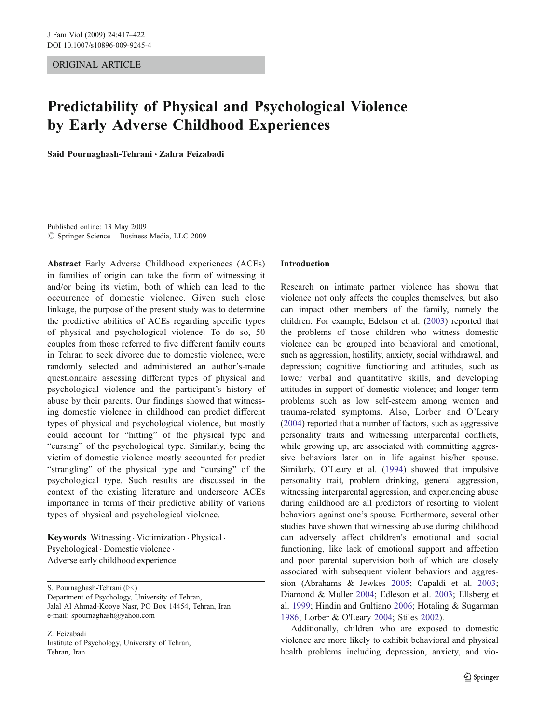ORIGINAL ARTICLE

# Predictability of Physical and Psychological Violence by Early Adverse Childhood Experiences

Said Pournaghash-Tehrani *&* Zahra Feizabadi

Published online: 13 May 2009  $\circledcirc$  Springer Science + Business Media, LLC 2009

Abstract Early Adverse Childhood experiences (ACEs) in families of origin can take the form of witnessing it and/or being its victim, both of which can lead to the occurrence of domestic violence. Given such close linkage, the purpose of the present study was to determine the predictive abilities of ACEs regarding specific types of physical and psychological violence. To do so, 50 couples from those referred to five different family courts in Tehran to seek divorce due to domestic violence, were randomly selected and administered an author's-made questionnaire assessing different types of physical and psychological violence and the participant's history of abuse by their parents. Our findings showed that witnessing domestic violence in childhood can predict different types of physical and psychological violence, but mostly could account for "hitting" of the physical type and "cursing" of the psychological type. Similarly, being the victim of domestic violence mostly accounted for predict "strangling" of the physical type and "cursing" of the psychological type. Such results are discussed in the context of the existing literature and underscore ACEs importance in terms of their predictive ability of various types of physical and psychological violence.

Keywords Witnessing . Victimization . Physical . Psychological . Domestic violence . Adverse early childhood experience

S. Pournaghash-Tehrani ( $\boxtimes$ )

Department of Psychology, University of Tehran, Jalal Al Ahmad-Kooye Nasr, PO Box 14454, Tehran, Iran e-mail: spournaghash@yahoo.com

Z. Feizabadi Institute of Psychology, University of Tehran, Tehran, Iran

### Introduction

Research on intimate partner violence has shown that violence not only affects the couples themselves, but also can impact other members of the family, namely the children. For example, Edelson et al. (2003) reported that the problems of those children who witness domestic violence can be grouped into behavioral and emotional, such as aggression, hostility, anxiety, social withdrawal, and depression; cognitive functioning and attitudes, such as lower verbal and quantitative skills, and developing attitudes in support of domestic violence; and longer-term problems such as low self-esteem among women and trauma-related symptoms. Also, Lorber and O'Leary (2004) reported that a number of factors, such as aggressive personality traits and witnessing interparental conflicts, while growing up, are associated with committing aggressive behaviors later on in life against his/her spouse. Similarly, O'Leary et al. (1994) showed that impulsive personality trait, problem drinking, general aggression, witnessing interparental aggression, and experiencing abuse during childhood are all predictors of resorting to violent behaviors against one's spouse. Furthermore, several other studies have shown that witnessing abuse during childhood can adversely affect children's emotional and social functioning, like lack of emotional support and affection and poor parental supervision both of which are closely associated with subsequent violent behaviors and aggression (Abrahams & Jewkes 2005; Capaldi et al. 2003; Diamond & Muller 2004; Edleson et al. 2003; Ellsberg et al. 1999; Hindin and Gultiano 2006; Hotaling & Sugarman 1986; Lorber & O'Leary 2004; Stiles 2002).

Additionally, children who are exposed to domestic violence are more likely to exhibit behavioral and physical health problems including depression, anxiety, and vio-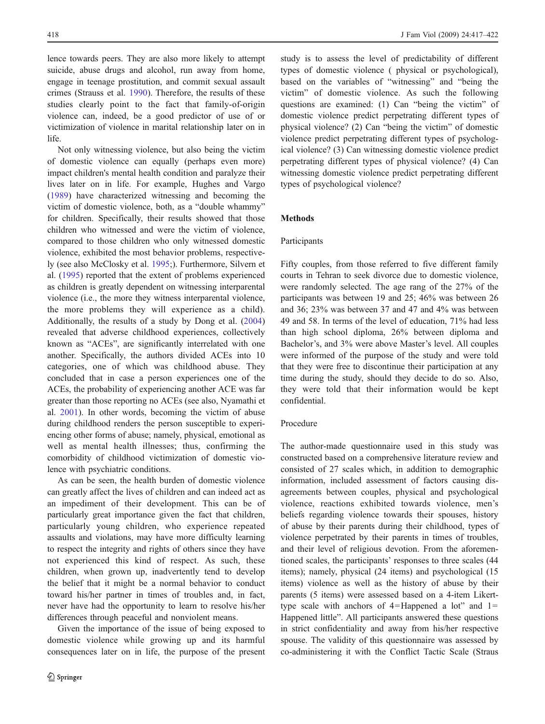lence towards peers. They are also more likely to attempt suicide, abuse drugs and alcohol, run away from home, engage in teenage prostitution, and commit sexual assault crimes (Strauss et al. 1990). Therefore, the results of these studies clearly point to the fact that family-of-origin violence can, indeed, be a good predictor of use of or victimization of violence in marital relationship later on in life.

Not only witnessing violence, but also being the victim of domestic violence can equally (perhaps even more) impact children's mental health condition and paralyze their lives later on in life. For example, Hughes and Vargo (1989) have characterized witnessing and becoming the victim of domestic violence, both, as a "double whammy" for children. Specifically, their results showed that those children who witnessed and were the victim of violence, compared to those children who only witnessed domestic violence, exhibited the most behavior problems, respectively (see also McClosky et al. 1995;). Furthermore, Silvern et al. (1995) reported that the extent of problems experienced as children is greatly dependent on witnessing interparental violence (i.e., the more they witness interparental violence, the more problems they will experience as a child). Additionally, the results of a study by Dong et al. (2004) revealed that adverse childhood experiences, collectively known as "ACEs", are significantly interrelated with one another. Specifically, the authors divided ACEs into 10 categories, one of which was childhood abuse. They concluded that in case a person experiences one of the ACEs, the probability of experiencing another ACE was far greater than those reporting no ACEs (see also, Nyamathi et al. 2001). In other words, becoming the victim of abuse during childhood renders the person susceptible to experiencing other forms of abuse; namely, physical, emotional as well as mental health illnesses; thus, confirming the comorbidity of childhood victimization of domestic violence with psychiatric conditions.

As can be seen, the health burden of domestic violence can greatly affect the lives of children and can indeed act as an impediment of their development. This can be of particularly great importance given the fact that children, particularly young children, who experience repeated assaults and violations, may have more difficulty learning to respect the integrity and rights of others since they have not experienced this kind of respect. As such, these children, when grown up, inadvertently tend to develop the belief that it might be a normal behavior to conduct toward his/her partner in times of troubles and, in fact, never have had the opportunity to learn to resolve his/her differences through peaceful and nonviolent means.

Given the importance of the issue of being exposed to domestic violence while growing up and its harmful consequences later on in life, the purpose of the present study is to assess the level of predictability of different types of domestic violence ( physical or psychological), based on the variables of "witnessing" and "being the victim" of domestic violence. As such the following questions are examined: (1) Can "being the victim" of domestic violence predict perpetrating different types of physical violence? (2) Can "being the victim" of domestic violence predict perpetrating different types of psychological violence? (3) Can witnessing domestic violence predict perpetrating different types of physical violence? (4) Can witnessing domestic violence predict perpetrating different types of psychological violence?

# Methods

### **Participants**

Fifty couples, from those referred to five different family courts in Tehran to seek divorce due to domestic violence, were randomly selected. The age rang of the 27% of the participants was between 19 and 25; 46% was between 26 and 36; 23% was between 37 and 47 and 4% was between 49 and 58. In terms of the level of education, 71% had less than high school diploma, 26% between diploma and Bachelor's, and 3% were above Master's level. All couples were informed of the purpose of the study and were told that they were free to discontinue their participation at any time during the study, should they decide to do so. Also, they were told that their information would be kept confidential.

## Procedure

The author-made questionnaire used in this study was constructed based on a comprehensive literature review and consisted of 27 scales which, in addition to demographic information, included assessment of factors causing disagreements between couples, physical and psychological violence, reactions exhibited towards violence, men's beliefs regarding violence towards their spouses, history of abuse by their parents during their childhood, types of violence perpetrated by their parents in times of troubles, and their level of religious devotion. From the aforementioned scales, the participants' responses to three scales (44 items); namely, physical (24 items) and psychological (15 items) violence as well as the history of abuse by their parents (5 items) were assessed based on a 4-item Likerttype scale with anchors of  $4=Happened$  a lot" and  $1=$ Happened little". All participants answered these questions in strict confidentiality and away from his/her respective spouse. The validity of this questionnaire was assessed by co-administering it with the Conflict Tactic Scale (Straus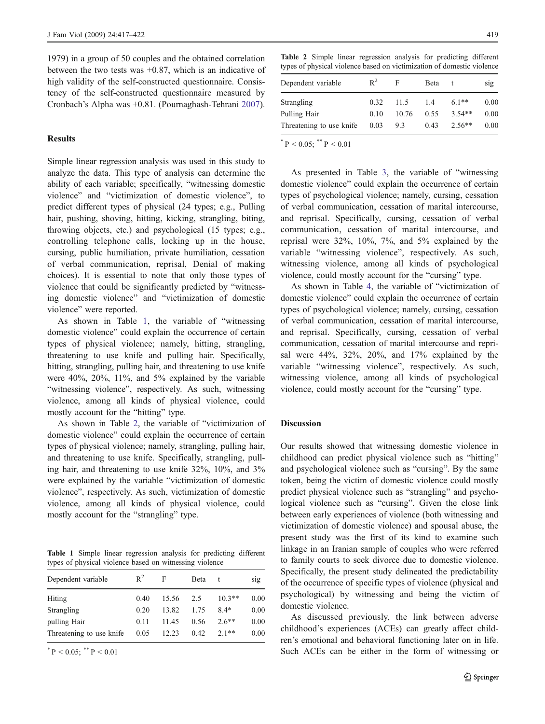1979) in a group of 50 couples and the obtained correlation between the two tests was  $+0.87$ , which is an indicative of high validity of the self-constructed questionnaire. Consistency of the self-constructed questionnaire measured by Cronbach's Alpha was +0.81. (Pournaghash-Tehrani 2007).

# Results

Simple linear regression analysis was used in this study to analyze the data. This type of analysis can determine the ability of each variable; specifically, "witnessing domestic violence" and "victimization of domestic violence", to predict different types of physical (24 types; e.g., Pulling hair, pushing, shoving, hitting, kicking, strangling, biting, throwing objects, etc.) and psychological (15 types; e.g., controlling telephone calls, locking up in the house, cursing, public humiliation, private humiliation, cessation of verbal communication, reprisal, Denial of making choices). It is essential to note that only those types of violence that could be significantly predicted by "witnessing domestic violence" and "victimization of domestic violence" were reported.

As shown in Table 1, the variable of "witnessing domestic violence" could explain the occurrence of certain types of physical violence; namely, hitting, strangling, threatening to use knife and pulling hair. Specifically, hitting, strangling, pulling hair, and threatening to use knife were 40%, 20%, 11%, and 5% explained by the variable "witnessing violence", respectively. As such, witnessing violence, among all kinds of physical violence, could mostly account for the "hitting" type.

As shown in Table 2, the variable of "victimization of domestic violence" could explain the occurrence of certain types of physical violence; namely, strangling, pulling hair, and threatening to use knife. Specifically, strangling, pulling hair, and threatening to use knife 32%, 10%, and 3% were explained by the variable "victimization of domestic violence", respectively. As such, victimization of domestic violence, among all kinds of physical violence, could mostly account for the "strangling" type.

Table 1 Simple linear regression analysis for predicting different types of physical violence based on witnessing violence

| Dependent variable        | $R^2$ | F     | Beta | t        | sig  |
|---------------------------|-------|-------|------|----------|------|
| Hiting                    | 0.40  | 15.56 | 2.5  | $10.3**$ | 0.00 |
| Strangling                | 0.20  | 13.82 | 1.75 | 8.4*     | 0.00 |
| pulling Hair              | 0.11  | 11.45 | 0.56 | $2.6***$ | 0.00 |
| Threatening to use knife. | 0.05  | 12.23 | 0.42 | $21**$   | 0.00 |

 $*^{p}$  < 0.05;  $*^{*}$  P < 0.01

Table 2 Simple linear regression analysis for predicting different types of physical violence based on victimization of domestic violence

| Dependent variable         | $R^2$        | F             | Beta        |                     | SIg          |
|----------------------------|--------------|---------------|-------------|---------------------|--------------|
| Strangling<br>Pulling Hair | 0.32<br>0.10 | 11.5<br>10.76 | 1.4<br>0.55 | $6.1**$<br>$3.54**$ | 0.00<br>0.00 |
| Threatening to use knife   | 0.03         | 9.3           | 0.43        | $2.56**$            | 0.00         |

 $*$  P < 0.05;  $*$  P < 0.01

As presented in Table 3, the variable of "witnessing domestic violence" could explain the occurrence of certain types of psychological violence; namely, cursing, cessation of verbal communication, cessation of marital intercourse, and reprisal. Specifically, cursing, cessation of verbal communication, cessation of marital intercourse, and reprisal were 32%, 10%, 7%, and 5% explained by the variable "witnessing violence", respectively. As such, witnessing violence, among all kinds of psychological violence, could mostly account for the "cursing" type.

As shown in Table 4, the variable of "victimization of domestic violence" could explain the occurrence of certain types of psychological violence; namely, cursing, cessation of verbal communication, cessation of marital intercourse, and reprisal. Specifically, cursing, cessation of verbal communication, cessation of marital intercourse and reprisal were 44%, 32%, 20%, and 17% explained by the variable "witnessing violence", respectively. As such, witnessing violence, among all kinds of psychological violence, could mostly account for the "cursing" type.

## Discussion

Our results showed that witnessing domestic violence in childhood can predict physical violence such as "hitting" and psychological violence such as "cursing". By the same token, being the victim of domestic violence could mostly predict physical violence such as "strangling" and psychological violence such as "cursing". Given the close link between early experiences of violence (both witnessing and victimization of domestic violence) and spousal abuse, the present study was the first of its kind to examine such linkage in an Iranian sample of couples who were referred to family courts to seek divorce due to domestic violence. Specifically, the present study delineated the predictability of the occurrence of specific types of violence (physical and psychological) by witnessing and being the victim of domestic violence.

As discussed previously, the link between adverse childhood's experiences (ACEs) can greatly affect children's emotional and behavioral functioning later on in life. Such ACEs can be either in the form of witnessing or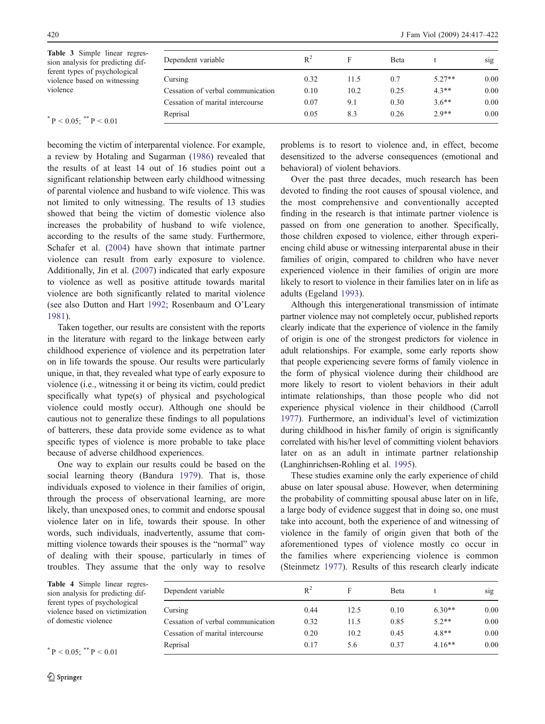Table 3 Simple linear regression analysis for predicting different types of psychological violence based on witnessing violence

\*
$$
P < 0.05
$$
;  
 \*\* $P < 0.01$ 

| Dependent variable                | $R^2$ | F    | Beta |          | S1g  |  |
|-----------------------------------|-------|------|------|----------|------|--|
| Cursing                           | 0.32  | 11.5 | 0.7  | $5.27**$ | 0.00 |  |
| Cessation of verbal communication | 0.10  | 10.2 | 0.25 | $4.3**$  | 0.00 |  |
| Cessation of marital intercourse  | 0.07  | 9.1  | 0.30 | $3.6***$ | 0.00 |  |
| Reprisal                          | 0.05  | 8.3  | 0.26 | $2.9**$  | 0.00 |  |

becoming the victim of interparental violence. For example, a review by Hotaling and Sugarman (1986) revealed that the results of at least 14 out of 16 studies point out a significant relationship between early childhood witnessing of parental violence and husband to wife violence. This was not limited to only witnessing. The results of 13 studies showed that being the victim of domestic violence also increases the probability of husband to wife violence, according to the results of the same study. Furthermore, Schafer et al. (2004) have shown that intimate partner violence can result from early exposure to violence. Additionally, Jin et al. (2007) indicated that early exposure to violence as well as positive attitude towards marital violence are both significantly related to marital violence (see also Dutton and Hart 1992; Rosenbaum and O'Leary 1981).

Taken together, our results are consistent with the reports in the literature with regard to the linkage between early childhood experience of violence and its perpetration later on in life towards the spouse. Our results were particularly unique, in that, they revealed what type of early exposure to violence (i.e., witnessing it or being its victim, could predict specifically what type(s) of physical and psychological violence could mostly occur). Although one should be cautious not to generalize these findings to all populations of batterers, these data provide some evidence as to what specific types of violence is more probable to take place because of adverse childhood experiences.

One way to explain our results could be based on the social learning theory (Bandura 1979). That is, those individuals exposed to violence in their families of origin, through the process of observational learning, are more likely, than unexposed ones, to commit and endorse spousal violence later on in life, towards their spouse. In other words, such individuals, inadvertently, assume that committing violence towards their spouses is the "normal" way of dealing with their spouse, particularly in times of troubles. They assume that the only way to resolve

problems is to resort to violence and, in effect, become desensitized to the adverse consequences (emotional and behavioral) of violent behaviors.

Over the past three decades, much research has been devoted to finding the root causes of spousal violence, and the most comprehensive and conventionally accepted finding in the research is that intimate partner violence is passed on from one generation to another. Specifically, those children exposed to violence, either through experiencing child abuse or witnessing interparental abuse in their families of origin, compared to children who have never experienced violence in their families of origin are more likely to resort to violence in their families later on in life as adults (Egeland 1993).

Although this intergenerational transmission of intimate partner violence may not completely occur, published reports clearly indicate that the experience of violence in the family of origin is one of the strongest predictors for violence in adult relationships. For example, some early reports show that people experiencing severe forms of family violence in the form of physical violence during their childhood are more likely to resort to violent behaviors in their adult intimate relationships, than those people who did not experience physical violence in their childhood (Carroll 1977). Furthermore, an individual's level of victimization during childhood in his/her family of origin is significantly correlated with his/her level of committing violent behaviors later on as an adult in intimate partner relationship (Langhinrichsen-Rohling et al. 1995).

These studies examine only the early experience of child abuse on later spousal abuse. However, when determining the probability of committing spousal abuse later on in life, a large body of evidence suggest that in doing so, one must take into account, both the experience of and witnessing of violence in the family of origin given that both of the aforementioned types of violence mostly co occur in the families where experiencing violence is common (Steinmetz 1977). Results of this research clearly indicate

Table 4 Simple linear regression analysis for predicting different types of psychological violence based on victimization of domestic violence

|  | $P < 0.05$ ; $*$ P $< 0.01$ |
|--|-----------------------------|
|--|-----------------------------|

| Dependent variable                | $R^2$ | F    | Beta |          | sig  |
|-----------------------------------|-------|------|------|----------|------|
| Cursing                           | 0.44  | 12.5 | 0.10 | $6.30**$ | 0.00 |
| Cessation of verbal communication | 0.32  | 11.5 | 0.85 | $5.2**$  | 0.00 |
| Cessation of marital intercourse  | 0.20  | 10.2 | 0.45 | $4.8**$  | 0.00 |
| Reprisal                          | 0.17  | 5.6  | 0.37 | $4.16**$ | 0.00 |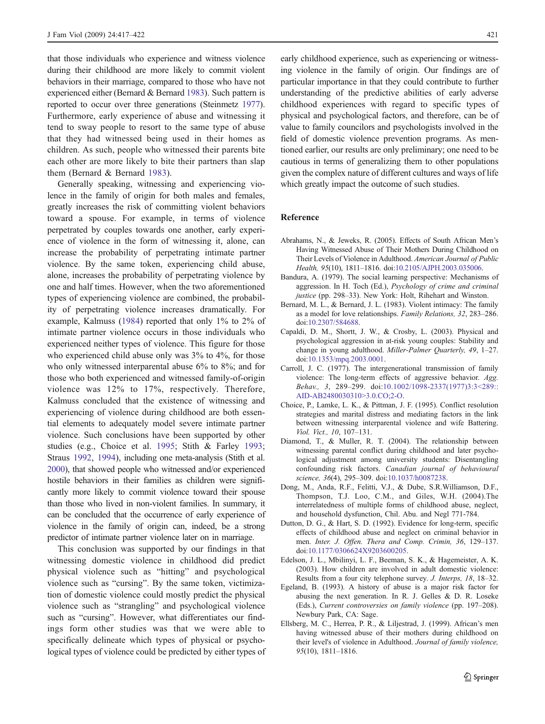that those individuals who experience and witness violence during their childhood are more likely to commit violent behaviors in their marriage, compared to those who have not experienced either (Bernard & Bernard 1983). Such pattern is reported to occur over three generations (Steinmetz 1977). Furthermore, early experience of abuse and witnessing it tend to sway people to resort to the same type of abuse that they had witnessed being used in their homes as children. As such, people who witnessed their parents bite each other are more likely to bite their partners than slap them (Bernard & Bernard 1983).

Generally speaking, witnessing and experiencing violence in the family of origin for both males and females, greatly increases the risk of committing violent behaviors toward a spouse. For example, in terms of violence perpetrated by couples towards one another, early experience of violence in the form of witnessing it, alone, can increase the probability of perpetrating intimate partner violence. By the same token, experiencing child abuse, alone, increases the probability of perpetrating violence by one and half times. However, when the two aforementioned types of experiencing violence are combined, the probability of perpetrating violence increases dramatically. For example, Kalmuss (1984) reported that only 1% to 2% of intimate partner violence occurs in those individuals who experienced neither types of violence. This figure for those who experienced child abuse only was  $3\%$  to  $4\%$ , for those who only witnessed interparental abuse 6% to 8%; and for those who both experienced and witnessed family-of-origin violence was 12% to 17%, respectively. Therefore, Kalmuss concluded that the existence of witnessing and experiencing of violence during childhood are both essential elements to adequately model severe intimate partner violence. Such conclusions have been supported by other studies (e.g., Choice et al. 1995; Stith & Farley 1993; Straus 1992, 1994), including one meta-analysis (Stith et al. 2000), that showed people who witnessed and/or experienced hostile behaviors in their families as children were significantly more likely to commit violence toward their spouse than those who lived in non-violent families. In summary, it can be concluded that the occurrence of early experience of violence in the family of origin can, indeed, be a strong predictor of intimate partner violence later on in marriage.

This conclusion was supported by our findings in that witnessing domestic violence in childhood did predict physical violence such as "hitting" and psychological violence such as "cursing". By the same token, victimization of domestic violence could mostly predict the physical violence such as "strangling" and psychological violence such as "cursing". However, what differentiates our findings form other studies was that we were able to specifically delineate which types of physical or psychological types of violence could be predicted by either types of

early childhood experience, such as experiencing or witnessing violence in the family of origin. Our findings are of particular importance in that they could contribute to further understanding of the predictive abilities of early adverse childhood experiences with regard to specific types of physical and psychological factors, and therefore, can be of value to family councilors and psychologists involved in the field of domestic violence prevention programs. As mentioned earlier, our results are only preliminary; one need to be cautious in terms of generalizing them to other populations given the complex nature of different cultures and ways of life which greatly impact the outcome of such studies.

### Reference

- Abrahams, N., & Jeweks, R. (2005). Effects of South African Men's Having Witnessed Abuse of Their Mothers During Childhood on Their Levels of Violence in Adulthood. American Journal of Public Health, 95(10), 1811–1816. doi[:10.2105/AJPH.2003.035006](http://dx.doi.org/10.2105/AJPH.2003.035006).
- Bandura, A. (1979). The social learning perspective: Mechanisms of aggression. In H. Toch (Ed.), Psychology of crime and criminal justice (pp. 298–33). New York: Holt, Rihehart and Winston.
- Bernard, M. L., & Bernard, J. L. (1983). Violent intimacy: The family as a model for love relationships. Family Relations, 32, 283–286. doi:[10.2307/584688](http://dx.doi.org/10.2307/584688).
- Capaldi, D. M., Shortt, J. W., & Crosby, L. (2003). Physical and psychological aggression in at-risk young couples: Stability and change in young adulthood. Miller-Palmer Quarterly, 49, 1–27. doi:[10.1353/mpq.2003.0001.](http://dx.doi.org/10.1353/mpq.2003.0001)
- Carroll, J. C. (1977). The intergenerational transmission of family violence: The long-term effects of aggressive behavior. Agg. Behav., 3, 289–299. doi:[10.1002/1098-2337\(1977\)3:3<289::](http://dx.doi.org/10.1002/1098-2337(1977)3:3<289::AID-AB2480030310>3.0.CO;2-O) [AID-AB2480030310>3.0.CO;2-O](http://dx.doi.org/10.1002/1098-2337(1977)3:3<289::AID-AB2480030310>3.0.CO;2-O).
- Choice, P., Lamke, L. K., & Pittman, J. F. (1995). Conflict resolution strategies and marital distress and mediating factors in the link between witnessing interparental violence and wife Battering. Viol. Vict., 10, 107–131.
- Diamond, T., & Muller, R. T. (2004). The relationship between witnessing parental conflict during childhood and later psychological adjustment among university students: Disentangling confounding risk factors. Canadian journal of behavioural science, 36(4), 295–309. doi:[10.1037/h0087238.](http://dx.doi.org/10.1037/h0087238)
- Dong, M., Anda, R.F., Felitti, V.J., & Dube, S.R.Williamson, D.F., Thompson, T.J. Loo, C.M., and Giles, W.H. (2004).The interrelatedness of multiple forms of childhood abuse, neglect, and household dysfunction, Chil. Abu. and Negl 771-784.
- Dutton, D. G., & Hart, S. D. (1992). Evidence for long-term, specific effects of childhood abuse and neglect on criminal behavior in men. Inter. J. Offen. Thera and Comp. Crimin, 36, 129–137. doi:[10.1177/0306624X9203600205](http://dx.doi.org/10.1177/0306624X9203600205).
- Edelson, J. L., Mbilinyi, L. F., Beeman, S. K., & Hagemeister, A. K. (2003). How children are involved in adult domestic violence: Results from a four city telephone survey. J. Interps, 18, 18–32.
- Egeland, B. (1993). A history of abuse is a major risk factor for abusing the next generation. In R. J. Gelles & D. R. Loseke (Eds.), Current controversies on family violence (pp. 197–208). Newbury Park, CA: Sage.
- Ellsberg, M. C., Herrea, P. R., & Liljestrad, J. (1999). African's men having witnessed abuse of their mothers during childhood on their level's of violence in Adulthood. Journal of family violence, 95(10), 1811–1816.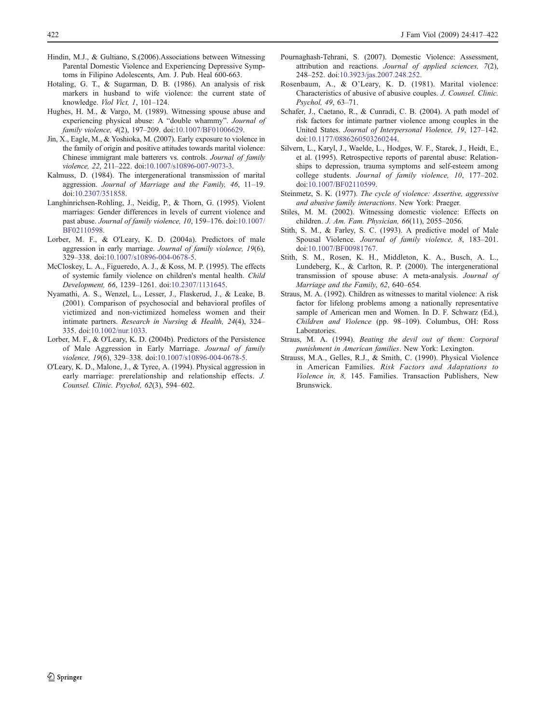- Hindin, M.J., & Gultiano, S.(2006).Associations between Witnessing Parental Domestic Violence and Experiencing Depressive Symptoms in Filipino Adolescents, Am. J. Pub. Heal 600-663.
- Hotaling, G. T., & Sugarman, D. B. (1986). An analysis of risk markers in husband to wife violence: the current state of knowledge. Viol Vict, 1, 101–124.
- Hughes, H. M., & Vargo, M. (1989). Witnessing spouse abuse and experiencing physical abuse: A "double whammy". Journal of family violence, 4(2), 197–209. doi:[10.1007/BF01006629.](http://dx.doi.org/10.1007/BF01006629)
- Jin, X., Eagle, M., & Yoshioka, M. (2007). Early exposure to violence in the family of origin and positive attitudes towards marital violence: Chinese immigrant male batterers vs. controls. Journal of family violence, 22, 211–222. doi:[10.1007/s10896-007-9073-3.](http://dx.doi.org/10.1007/s10896-007-9073-3)
- Kalmuss, D. (1984). The intergenerational transmission of marital aggression. Journal of Marriage and the Family, 46, 11–19. doi:[10.2307/351858.](http://dx.doi.org/10.2307/351858)
- Langhinrichsen-Rohling, J., Neidig, P., & Thorn, G. (1995). Violent marriages: Gender differences in levels of current violence and past abuse. Journal of family violence, 10, 159–176. doi:[10.1007/](http://dx.doi.org/10.1007/BF02110598) [BF02110598.](http://dx.doi.org/10.1007/BF02110598)
- Lorber, M. F., & O'Leary, K. D. (2004a). Predictors of male aggression in early marriage. Journal of family violence, 19(6), 329–338. doi[:10.1007/s10896-004-0678-5.](http://dx.doi.org/10.1007/s10896-004-0678-5)
- McCloskey, L. A., Figueredo, A. J., & Koss, M. P. (1995). The effects of systemic family violence on children's mental health. Child Development, 66, 1239–1261. doi[:10.2307/1131645](http://dx.doi.org/10.2307/1131645).
- Nyamathi, A. S., Wenzel, L., Lesser, J., Flaskerud, J., & Leake, B. (2001). Comparison of psychosocial and behavioral profiles of victimized and non-victimized homeless women and their intimate partners. Research in Nursing & Health, 24(4), 324– 335. doi[:10.1002/nur.1033.](http://dx.doi.org/10.1002/nur.1033)
- Lorber, M. F., & O'Leary, K. D. (2004b). Predictors of the Persistence of Male Aggression in Early Marriage. Journal of family violence, 19(6), 329–338. doi[:10.1007/s10896-004-0678-5](http://dx.doi.org/10.1007/s10896-004-0678-5).
- O'Leary, K. D., Malone, J., & Tyree, A. (1994). Physical aggression in early marriage: prerelationship and relationship effects. J. Counsel. Clinic. Psychol, 62(3), 594–602.
- Pournaghash-Tehrani, S. (2007). Domestic Violence: Assessment, attribution and reactions. Journal of applied sciences, 7(2), 248–252. doi[:10.3923/jas.2007.248.252](http://dx.doi.org/10.3923/jas.2007.248.252).
- Rosenbaum, A., & O'Leary, K. D. (1981). Marital violence: Characteristics of abusive of abusive couples. J. Counsel. Clinic. Psychol, 49, 63–71.
- Schafer, J., Caetano, R., & Cunradi, C. B. (2004). A path model of risk factors for intimate partner violence among couples in the United States. Journal of Interpersonal Violence, 19, 127–142. doi:[10.1177/0886260503260244](http://dx.doi.org/10.1177/0886260503260244).
- Silvern, L., Karyl, J., Waelde, L., Hodges, W. F., Starek, J., Heidt, E., et al. (1995). Retrospective reports of parental abuse: Relationships to depression, trauma symptoms and self-esteem among college students. Journal of family violence, 10, 177–202. doi:[10.1007/BF02110599.](http://dx.doi.org/10.1007/BF02110599)
- Steinmetz, S. K. (1977). The cycle of violence: Assertive, aggressive and abusive family interactions. New York: Praeger.
- Stiles, M. M. (2002). Witnessing domestic violence: Effects on children. J. Am. Fam. Physician, 66(11), 2055–2056.
- Stith, S. M., & Farley, S. C. (1993). A predictive model of Male Spousal Violence. Journal of family violence, 8, 183–201. doi:[10.1007/BF00981767.](http://dx.doi.org/10.1007/BF00981767)
- Stith, S. M., Rosen, K. H., Middleton, K. A., Busch, A. L., Lundeberg, K., & Carlton, R. P. (2000). The intergenerational transmission of spouse abuse: A meta-analysis. Journal of Marriage and the Family, 62, 640–654.
- Straus, M. A. (1992). Children as witnesses to marital violence: A risk factor for lifelong problems among a nationally representative sample of American men and Women. In D. F. Schwarz (Ed.), Children and Violence (pp. 98–109). Columbus, OH: Ross Laboratories.
- Straus, M. A. (1994). Beating the devil out of them: Corporal punishment in American families. New York: Lexington.
- Strauss, M.A., Gelles, R.J., & Smith, C. (1990). Physical Violence in American Families. Risk Factors and Adaptations to Violence in, 8, 145. Families. Transaction Publishers, New Brunswick.